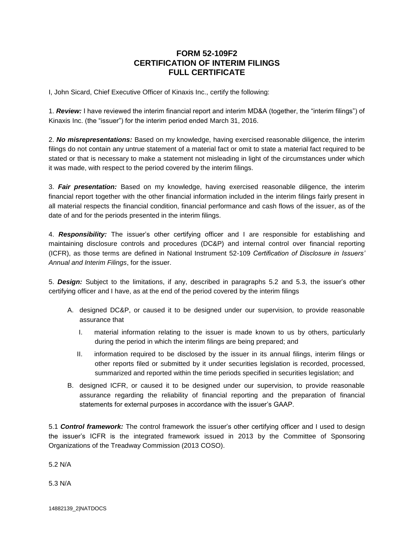## **FORM 52-109F2 CERTIFICATION OF INTERIM FILINGS FULL CERTIFICATE**

I, John Sicard, Chief Executive Officer of Kinaxis Inc., certify the following:

1. *Review:* I have reviewed the interim financial report and interim MD&A (together, the "interim filings") of Kinaxis Inc. (the "issuer") for the interim period ended March 31, 2016.

2. *No misrepresentations:* Based on my knowledge, having exercised reasonable diligence, the interim filings do not contain any untrue statement of a material fact or omit to state a material fact required to be stated or that is necessary to make a statement not misleading in light of the circumstances under which it was made, with respect to the period covered by the interim filings.

3. *Fair presentation:* Based on my knowledge, having exercised reasonable diligence, the interim financial report together with the other financial information included in the interim filings fairly present in all material respects the financial condition, financial performance and cash flows of the issuer, as of the date of and for the periods presented in the interim filings.

4. *Responsibility:* The issuer's other certifying officer and I are responsible for establishing and maintaining disclosure controls and procedures (DC&P) and internal control over financial reporting (ICFR), as those terms are defined in National Instrument 52-109 *Certification of Disclosure in Issuers' Annual and Interim Filings*, for the issuer.

5. *Design:* Subject to the limitations, if any, described in paragraphs 5.2 and 5.3, the issuer's other certifying officer and I have, as at the end of the period covered by the interim filings

- A. designed DC&P, or caused it to be designed under our supervision, to provide reasonable assurance that
	- I. material information relating to the issuer is made known to us by others, particularly during the period in which the interim filings are being prepared; and
	- II. information required to be disclosed by the issuer in its annual filings, interim filings or other reports filed or submitted by it under securities legislation is recorded, processed, summarized and reported within the time periods specified in securities legislation; and
- B. designed ICFR, or caused it to be designed under our supervision, to provide reasonable assurance regarding the reliability of financial reporting and the preparation of financial statements for external purposes in accordance with the issuer's GAAP.

5.1 *Control framework:* The control framework the issuer's other certifying officer and I used to design the issuer's ICFR is the integrated framework issued in 2013 by the Committee of Sponsoring Organizations of the Treadway Commission (2013 COSO).

5.2 N/A

5.3 N/A